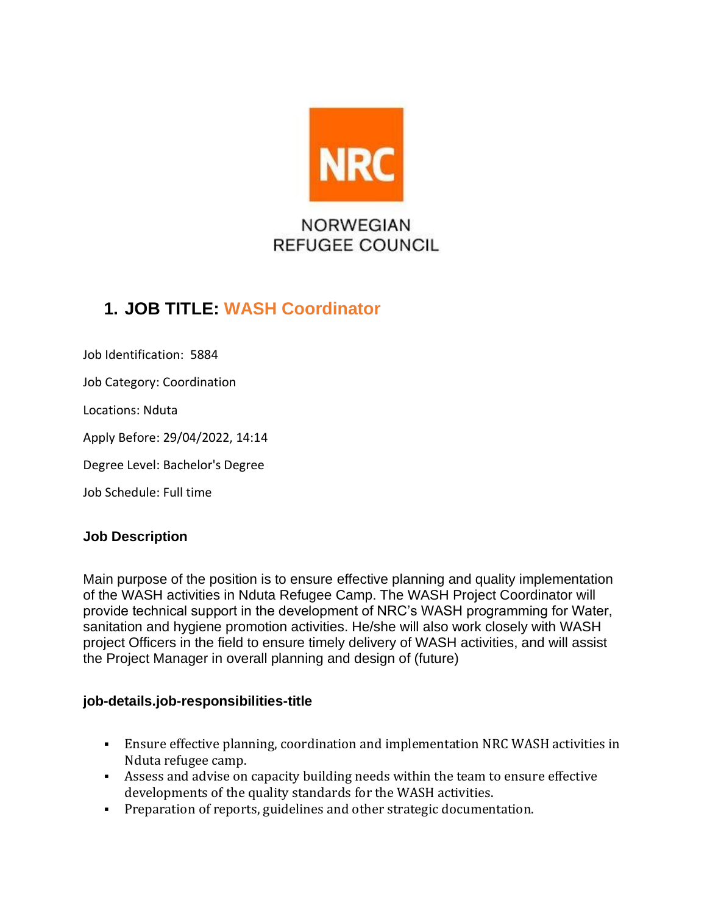

# **1. JOB TITLE: WASH Coordinator**

Job Identification: 5884 Job Category: Coordination Locations: Nduta Apply Before: 29/04/2022, 14:14 Degree Level: Bachelor's Degree Job Schedule: Full time

# **Job Description**

Main purpose of the position is to ensure effective planning and quality implementation of the WASH activities in Nduta Refugee Camp. The WASH Project Coordinator will provide technical support in the development of NRC's WASH programming for Water, sanitation and hygiene promotion activities. He/she will also work closely with WASH project Officers in the field to ensure timely delivery of WASH activities, and will assist the Project Manager in overall planning and design of (future)

# **job-details.job-responsibilities-title**

- Ensure effective planning, coordination and implementation NRC WASH activities in Nduta refugee camp.
- Assess and advise on capacity building needs within the team to ensure effective developments of the quality standards for the WASH activities.
- Preparation of reports, guidelines and other strategic documentation.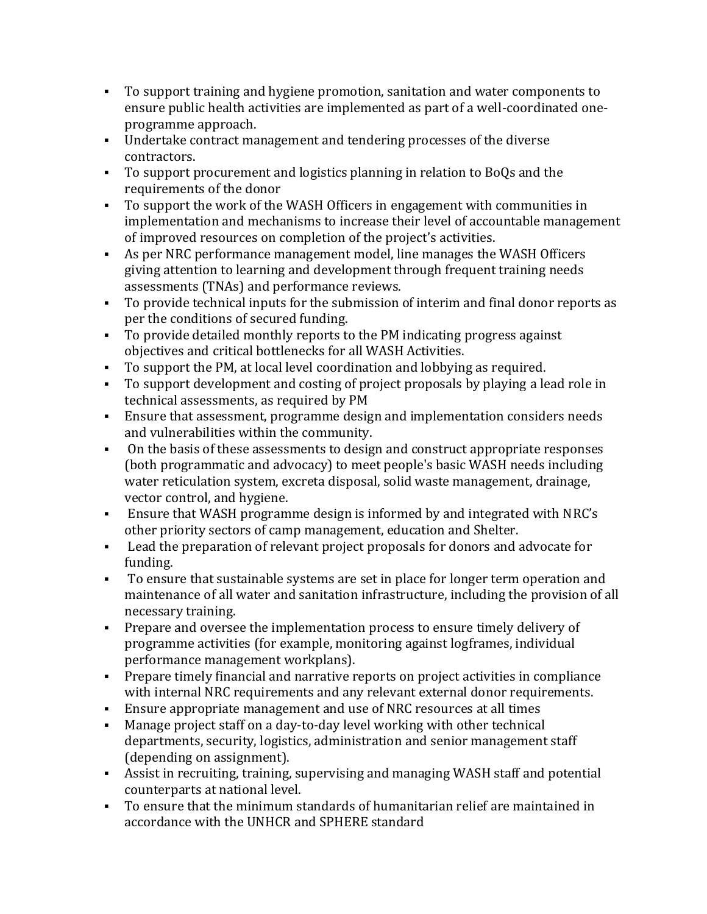- To support training and hygiene promotion, sanitation and water components to ensure public health activities are implemented as part of a well-coordinated oneprogramme approach.
- Undertake contract management and tendering processes of the diverse contractors.
- To support procurement and logistics planning in relation to BoQs and the requirements of the donor
- To support the work of the WASH Officers in engagement with communities in implementation and mechanisms to increase their level of accountable management of improved resources on completion of the project's activities.
- As per NRC performance management model, line manages the WASH Officers giving attention to learning and development through frequent training needs assessments (TNAs) and performance reviews.
- To provide technical inputs for the submission of interim and final donor reports as per the conditions of secured funding.
- To provide detailed monthly reports to the PM indicating progress against objectives and critical bottlenecks for all WASH Activities.
- To support the PM, at local level coordination and lobbying as required.
- To support development and costing of project proposals by playing a lead role in technical assessments, as required by PM
- Ensure that assessment, programme design and implementation considers needs and vulnerabilities within the community.
- On the basis of these assessments to design and construct appropriate responses (both programmatic and advocacy) to meet people's basic WASH needs including water reticulation system, excreta disposal, solid waste management, drainage, vector control, and hygiene.
- Ensure that WASH programme design is informed by and integrated with NRC's other priority sectors of camp management, education and Shelter.
- Lead the preparation of relevant project proposals for donors and advocate for funding.
- To ensure that sustainable systems are set in place for longer term operation and maintenance of all water and sanitation infrastructure, including the provision of all necessary training.
- **•** Prepare and oversee the implementation process to ensure timely delivery of programme activities (for example, monitoring against logframes, individual performance management workplans).
- Prepare timely financial and narrative reports on project activities in compliance with internal NRC requirements and any relevant external donor requirements.
- **Ensure appropriate management and use of NRC resources at all times**
- Manage project staff on a day-to-day level working with other technical departments, security, logistics, administration and senior management staff (depending on assignment).
- Assist in recruiting, training, supervising and managing WASH staff and potential counterparts at national level.
- To ensure that the minimum standards of humanitarian relief are maintained in accordance with the UNHCR and SPHERE standard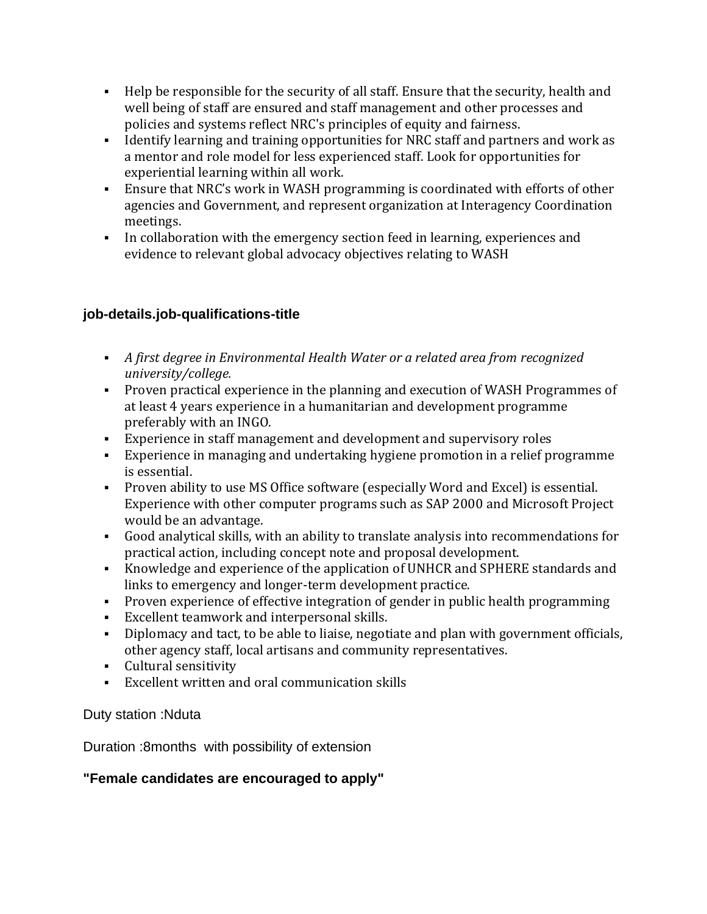- Help be responsible for the security of all staff. Ensure that the security, health and well being of staff are ensured and staff management and other processes and policies and systems reflect NRC's principles of equity and fairness.
- Identify learning and training opportunities for NRC staff and partners and work as a mentor and role model for less experienced staff. Look for opportunities for experiential learning within all work.
- **Ensure that NRC's work in WASH programming is coordinated with efforts of other** agencies and Government, and represent organization at Interagency Coordination meetings.
- In collaboration with the emergency section feed in learning, experiences and evidence to relevant global advocacy objectives relating to WASH

# **job-details.job-qualifications-title**

- *A first degree in Environmental Health Water or a related area from recognized university/college.*
- Proven practical experience in the planning and execution of WASH Programmes of at least 4 years experience in a humanitarian and development programme preferably with an INGO.
- Experience in staff management and development and supervisory roles
- Experience in managing and undertaking hygiene promotion in a relief programme is essential.
- Proven ability to use MS Office software (especially Word and Excel) is essential. Experience with other computer programs such as SAP 2000 and Microsoft Project would be an advantage.
- Good analytical skills, with an ability to translate analysis into recommendations for practical action, including concept note and proposal development.
- Knowledge and experience of the application of UNHCR and SPHERE standards and links to emergency and longer-term development practice.
- Proven experience of effective integration of gender in public health programming
- Excellent teamwork and interpersonal skills.
- Diplomacy and tact, to be able to liaise, negotiate and plan with government officials, other agency staff, local artisans and community representatives.
- Cultural sensitivity
- Excellent written and oral communication skills

# Duty station :Nduta

Duration :8months with possibility of extension

# **"Female candidates are encouraged to apply"**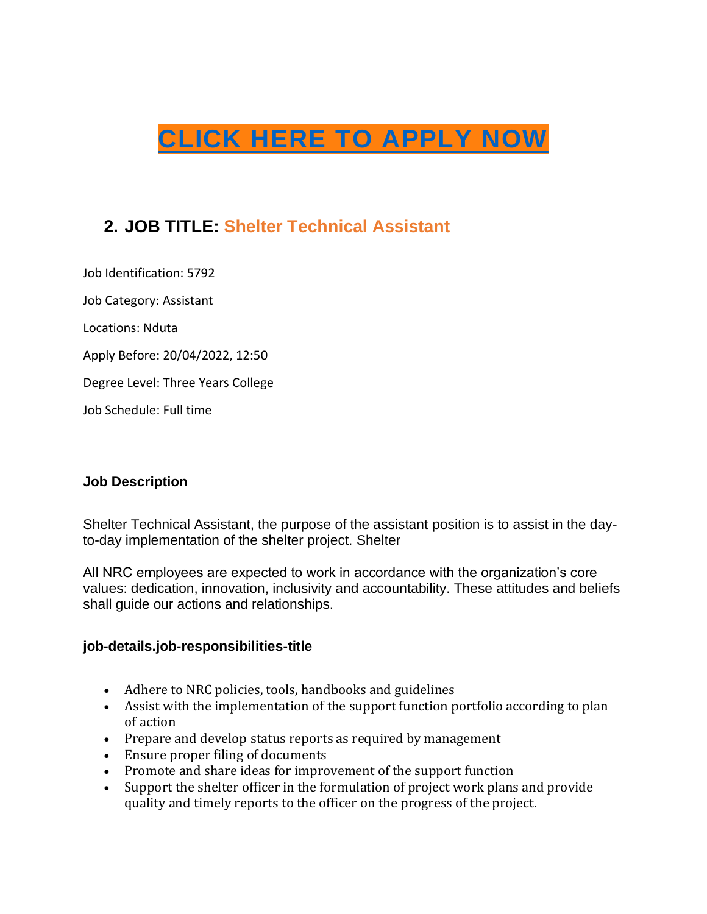# **[CLICK HERE TO APPLY NOW](https://ekum.fa.em2.oraclecloud.com/hcmUI/CandidateExperience/en/sites/CX_1001/requisitions/preview/5884/?location=Tanzania,+United+Republic+of&locationId=300000000311161&locationLevel=country)**

# **2. JOB TITLE: Shelter Technical Assistant**

Job Identification: 5792 Job Category: Assistant Locations: Nduta Apply Before: 20/04/2022, 12:50 Degree Level: Three Years College Job Schedule: Full time

#### **Job Description**

Shelter Technical Assistant, the purpose of the assistant position is to assist in the dayto-day implementation of the shelter project. Shelter

All NRC employees are expected to work in accordance with the organization's core values: dedication, innovation, inclusivity and accountability. These attitudes and beliefs shall guide our actions and relationships.

#### **job-details.job-responsibilities-title**

- Adhere to NRC policies, tools, handbooks and guidelines
- Assist with the implementation of the support function portfolio according to plan of action
- Prepare and develop status reports as required by management
- Ensure proper filing of documents
- Promote and share ideas for improvement of the support function
- Support the shelter officer in the formulation of project work plans and provide quality and timely reports to the officer on the progress of the project.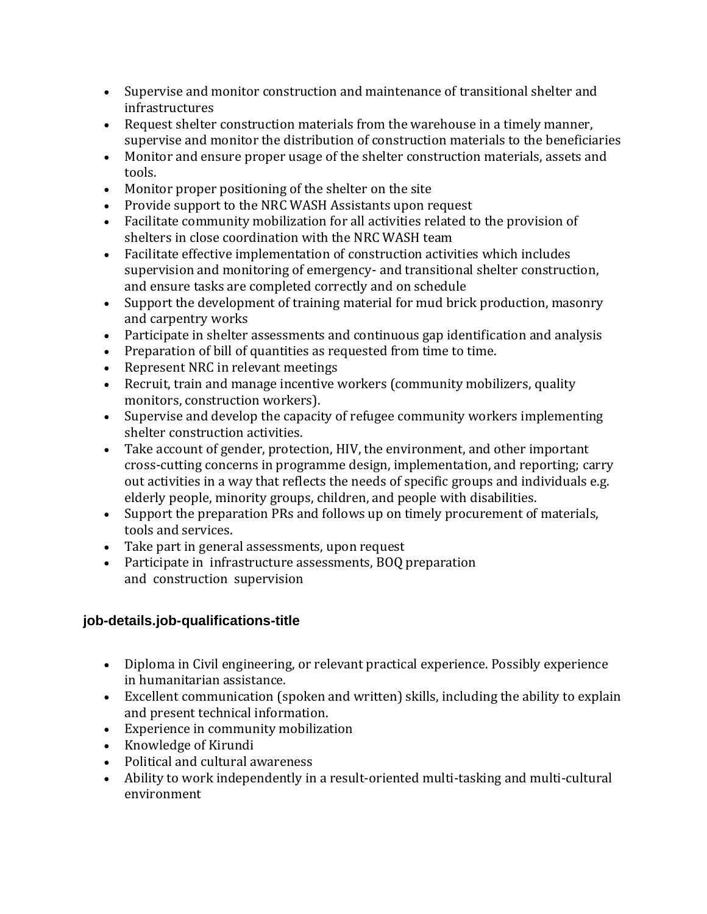- Supervise and monitor construction and maintenance of transitional shelter and infrastructures
- Request shelter construction materials from the warehouse in a timely manner, supervise and monitor the distribution of construction materials to the beneficiaries
- Monitor and ensure proper usage of the shelter construction materials, assets and tools.
- Monitor proper positioning of the shelter on the site
- Provide support to the NRC WASH Assistants upon request
- Facilitate community mobilization for all activities related to the provision of shelters in close coordination with the NRC WASH team
- Facilitate effective implementation of construction activities which includes supervision and monitoring of emergency- and transitional shelter construction, and ensure tasks are completed correctly and on schedule
- Support the development of training material for mud brick production, masonry and carpentry works
- Participate in shelter assessments and continuous gap identification and analysis
- Preparation of bill of quantities as requested from time to time.
- Represent NRC in relevant meetings
- Recruit, train and manage incentive workers (community mobilizers, quality monitors, construction workers).
- Supervise and develop the capacity of refugee community workers implementing shelter construction activities.
- Take account of gender, protection, HIV, the environment, and other important cross-cutting concerns in programme design, implementation, and reporting; carry out activities in a way that reflects the needs of specific groups and individuals e.g. elderly people, minority groups, children, and people with disabilities.
- Support the preparation PRs and follows up on timely procurement of materials, tools and services.
- Take part in general assessments, upon request
- Participate in infrastructure assessments, BOQ preparation and construction supervision

# **job-details.job-qualifications-title**

- Diploma in Civil engineering, or relevant practical experience. Possibly experience in humanitarian assistance.
- Excellent communication (spoken and written) skills, including the ability to explain and present technical information.
- Experience in community mobilization
- Knowledge of Kirundi
- Political and cultural awareness
- Ability to work independently in a result-oriented multi-tasking and multi-cultural environment